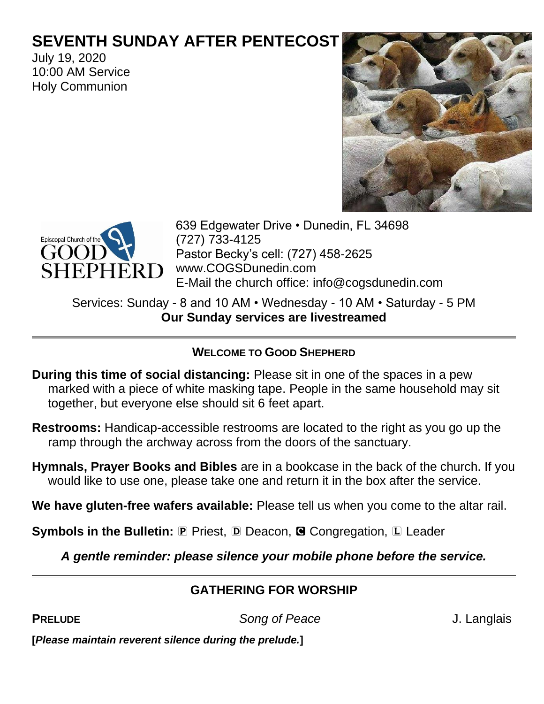# **SEVENTH SUNDAY AFTER PENTECOST**

July 19, 2020 10:00 AM Service Holy Communion





639 Edgewater Drive • Dunedin, FL 34698 (727) 733-4125 Pastor Becky's cell: (727) 458-2625 www.COGSDunedin.com E-Mail the church office: info@cogsdunedin.com

Services: Sunday - 8 and 10 AM • Wednesday - 10 AM • Saturday - 5 PM **Our Sunday services are livestreamed**

## **WELCOME TO GOOD SHEPHERD**

- **During this time of social distancing:** Please sit in one of the spaces in a pew marked with a piece of white masking tape. People in the same household may sit together, but everyone else should sit 6 feet apart.
- **Restrooms:** Handicap-accessible restrooms are located to the right as you go up the ramp through the archway across from the doors of the sanctuary.
- **Hymnals, Prayer Books and Bibles** are in a bookcase in the back of the church. If you would like to use one, please take one and return it in the box after the service.
- **We have gluten-free wafers available:** Please tell us when you come to the altar rail.

**Symbols in the Bulletin: P** Priest, **D** Deacon, **G** Congregation, **L** Leader

*A gentle reminder: please silence your mobile phone before the service.*

## **GATHERING FOR WORSHIP**

**PRELUDE** *Song of Peace* J. Langlais

**[***Please maintain reverent silence during the prelude.***]**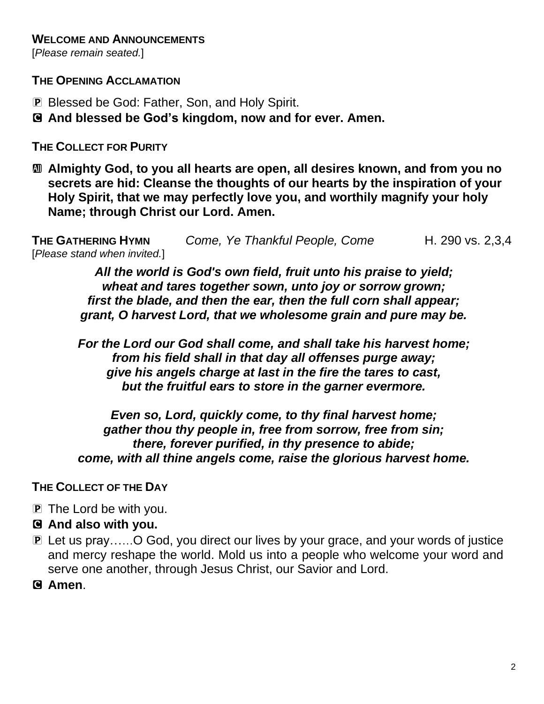[*Please remain seated.*]

#### **THE OPENING ACCLAMATION**

- P Blessed be God: Father, Son, and Holy Spirit.
- C **And blessed be God's kingdom, now and for ever. Amen.**

## **THE COLLECT FOR PURITY**

a **Almighty God, to you all hearts are open, all desires known, and from you no secrets are hid: Cleanse the thoughts of our hearts by the inspiration of your Holy Spirit, that we may perfectly love you, and worthily magnify your holy Name; through Christ our Lord. Amen.**

**THE GATHERING HYMN** *Come, Ye Thankful People, Come* **H. 290 vs. 2,3,4** [*Please stand when invited.*]

*All the world is God's own field, fruit unto his praise to yield; wheat and tares together sown, unto joy or sorrow grown; first the blade, and then the ear, then the full corn shall appear; grant, O harvest Lord, that we wholesome grain and pure may be.*

*For the Lord our God shall come, and shall take his harvest home; from his field shall in that day all offenses purge away; give his angels charge at last in the fire the tares to cast, but the fruitful ears to store in the garner evermore.*

*Even so, Lord, quickly come, to thy final harvest home; gather thou thy people in, free from sorrow, free from sin; there, forever purified, in thy presence to abide; come, with all thine angels come, raise the glorious harvest home.* 

## **THE COLLECT OF THE DAY**

- P The Lord be with you.
- C **And also with you.**
- P Let us pray……O God, you direct our lives by your grace, and your words of justice and mercy reshape the world. Mold us into a people who welcome your word and serve one another, through Jesus Christ, our Savior and Lord.
- C **Amen**.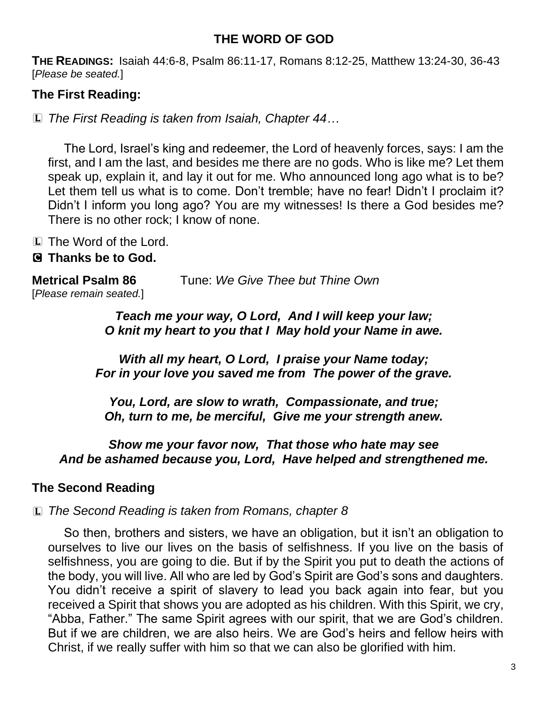#### **THE WORD OF GOD**

**THE READINGS:** Isaiah 44:6-8, Psalm 86:11-17, Romans 8:12-25, Matthew 13:24-30, 36-43 [*Please be seated.*]

#### **The First Reading:**

L *The First Reading is taken from Isaiah, Chapter 44…*

The Lord, Israel's king and redeemer, the Lord of heavenly forces, says: I am the first, and I am the last, and besides me there are no gods. Who is like me? Let them speak up, explain it, and lay it out for me. Who announced long ago what is to be? Let them tell us what is to come. Don't tremble; have no fear! Didn't I proclaim it? Didn't I inform you long ago? You are my witnesses! Is there a God besides me? There is no other rock; I know of none.

- L The Word of the Lord.
- C **Thanks be to God.**

**Metrical Psalm 86** Tune: *We Give Thee but Thine Own* [*Please remain seated.*]

> *Teach me your way, O Lord, And I will keep your law; O knit my heart to you that I May hold your Name in awe.*

*With all my heart, O Lord, I praise your Name today; For in your love you saved me from The power of the grave.*

*You, Lord, are slow to wrath, Compassionate, and true; Oh, turn to me, be merciful, Give me your strength anew.*

#### *Show me your favor now, That those who hate may see And be ashamed because you, Lord, Have helped and strengthened me.*

#### **The Second Reading**

#### L *The Second Reading is taken from Romans, chapter 8*

So then, brothers and sisters, we have an obligation, but it isn't an obligation to ourselves to live our lives on the basis of selfishness. If you live on the basis of selfishness, you are going to die. But if by the Spirit you put to death the actions of the body, you will live. All who are led by God's Spirit are God's sons and daughters. You didn't receive a spirit of slavery to lead you back again into fear, but you received a Spirit that shows you are adopted as his children. With this Spirit, we cry, "Abba, Father." The same Spirit agrees with our spirit, that we are God's children. But if we are children, we are also heirs. We are God's heirs and fellow heirs with Christ, if we really suffer with him so that we can also be glorified with him.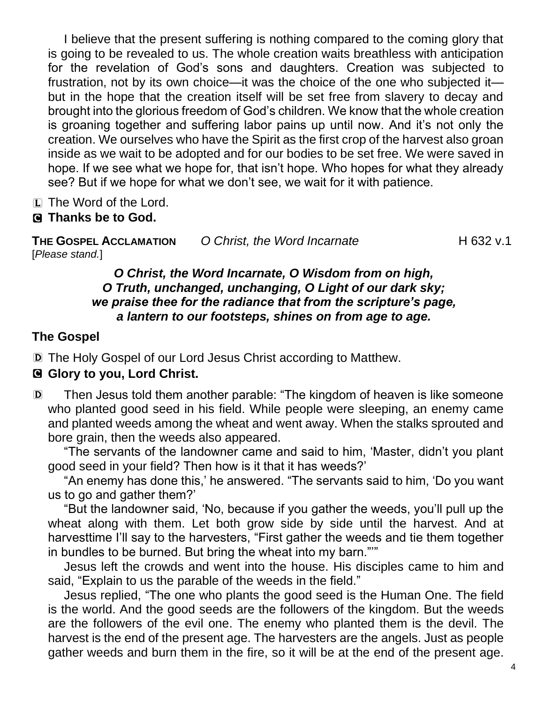I believe that the present suffering is nothing compared to the coming glory that is going to be revealed to us. The whole creation waits breathless with anticipation for the revelation of God's sons and daughters. Creation was subjected to frustration, not by its own choice—it was the choice of the one who subjected it but in the hope that the creation itself will be set free from slavery to decay and brought into the glorious freedom of God's children. We know that the whole creation is groaning together and suffering labor pains up until now. And it's not only the creation. We ourselves who have the Spirit as the first crop of the harvest also groan inside as we wait to be adopted and for our bodies to be set free. We were saved in hope. If we see what we hope for, that isn't hope. Who hopes for what they already see? But if we hope for what we don't see, we wait for it with patience.

L The Word of the Lord.

## C **Thanks be to God.**

**THE GOSPEL ACCLAMATION** *O Christ, the Word Incarnate* **H** 632 v.1 [*Please stand.*]

#### *O Christ, the Word Incarnate, O Wisdom from on high, O Truth, unchanged, unchanging, O Light of our dark sky; we praise thee for the radiance that from the scripture's page, a lantern to our footsteps, shines on from age to age.*

### **The Gospel**

D The Holy Gospel of our Lord Jesus Christ according to Matthew.

## C **Glory to you, Lord Christ.**

D Then Jesus told them another parable: "The kingdom of heaven is like someone who planted good seed in his field. While people were sleeping, an enemy came and planted weeds among the wheat and went away. When the stalks sprouted and bore grain, then the weeds also appeared.

"The servants of the landowner came and said to him, 'Master, didn't you plant good seed in your field? Then how is it that it has weeds?'

"An enemy has done this,' he answered. "The servants said to him, 'Do you want us to go and gather them?'

"But the landowner said, 'No, because if you gather the weeds, you'll pull up the wheat along with them. Let both grow side by side until the harvest. And at harvesttime I'll say to the harvesters, "First gather the weeds and tie them together in bundles to be burned. But bring the wheat into my barn."'"

Jesus left the crowds and went into the house. His disciples came to him and said, "Explain to us the parable of the weeds in the field."

Jesus replied, "The one who plants the good seed is the Human One. The field is the world. And the good seeds are the followers of the kingdom. But the weeds are the followers of the evil one. The enemy who planted them is the devil. The harvest is the end of the present age. The harvesters are the angels. Just as people gather weeds and burn them in the fire, so it will be at the end of the present age.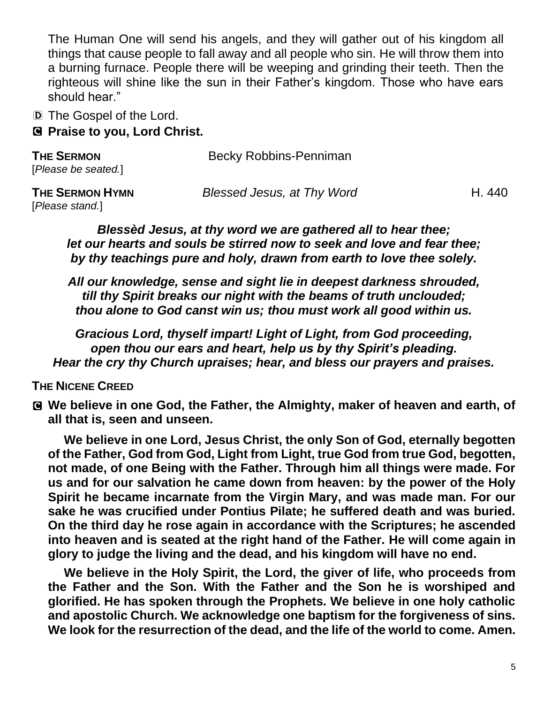The Human One will send his angels, and they will gather out of his kingdom all things that cause people to fall away and all people who sin. He will throw them into a burning furnace. People there will be weeping and grinding their teeth. Then the righteous will shine like the sun in their Father's kingdom. Those who have ears should hear."

D The Gospel of the Lord.

#### C **Praise to you, Lord Christ.**

| <b>THE SERMON</b><br>[Please be seated.]  | Becky Robbins-Penniman     |        |
|-------------------------------------------|----------------------------|--------|
| <b>THE SERMON HYMN</b><br>[Please stand.] | Blessed Jesus, at Thy Word | H. 440 |

*Blessèd Jesus, at thy word we are gathered all to hear thee; let our hearts and souls be stirred now to seek and love and fear thee; by thy teachings pure and holy, drawn from earth to love thee solely.*

*All our knowledge, sense and sight lie in deepest darkness shrouded, till thy Spirit breaks our night with the beams of truth unclouded; thou alone to God canst win us; thou must work all good within us.*

*Gracious Lord, thyself impart! Light of Light, from God proceeding, open thou our ears and heart, help us by thy Spirit's pleading. Hear the cry thy Church upraises; hear, and bless our prayers and praises.*

**THE NICENE CREED**

C **We believe in one God, the Father, the Almighty, maker of heaven and earth, of all that is, seen and unseen.** 

**We believe in one Lord, Jesus Christ, the only Son of God, eternally begotten of the Father, God from God, Light from Light, true God from true God, begotten, not made, of one Being with the Father. Through him all things were made. For us and for our salvation he came down from heaven: by the power of the Holy Spirit he became incarnate from the Virgin Mary, and was made man. For our sake he was crucified under Pontius Pilate; he suffered death and was buried. On the third day he rose again in accordance with the Scriptures; he ascended into heaven and is seated at the right hand of the Father. He will come again in glory to judge the living and the dead, and his kingdom will have no end.**

**We believe in the Holy Spirit, the Lord, the giver of life, who proceeds from the Father and the Son. With the Father and the Son he is worshiped and glorified. He has spoken through the Prophets. We believe in one holy catholic and apostolic Church. We acknowledge one baptism for the forgiveness of sins. We look for the resurrection of the dead, and the life of the world to come. Amen.**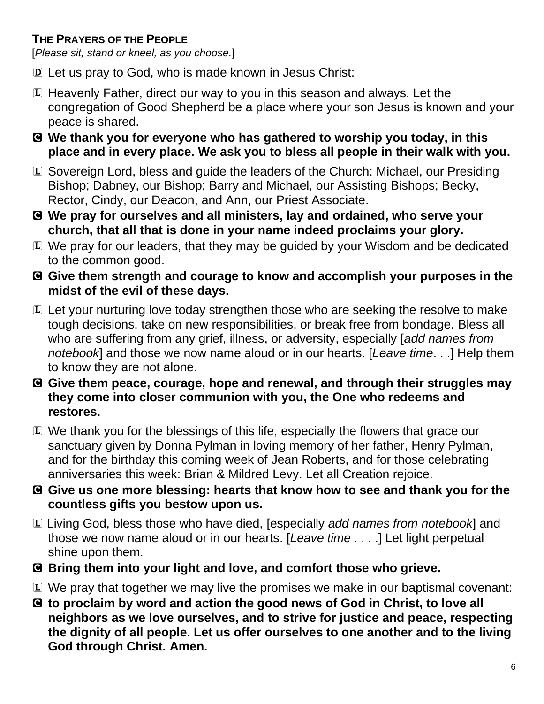## **THE PRAYERS OF THE PEOPLE**

[*Please sit, stand or kneel, as you choose.*]

- D Let us pray to God, who is made known in Jesus Christ:
- L Heavenly Father, direct our way to you in this season and always. Let the congregation of Good Shepherd be a place where your son Jesus is known and your peace is shared.
- C **We thank you for everyone who has gathered to worship you today, in this place and in every place. We ask you to bless all people in their walk with you.**
- L Sovereign Lord, bless and guide the leaders of the Church: Michael, our Presiding Bishop; Dabney, our Bishop; Barry and Michael, our Assisting Bishops; Becky, Rector, Cindy, our Deacon, and Ann, our Priest Associate.
- C **We pray for ourselves and all ministers, lay and ordained, who serve your church, that all that is done in your name indeed proclaims your glory.**
- L We pray for our leaders, that they may be guided by your Wisdom and be dedicated to the common good.
- C **Give them strength and courage to know and accomplish your purposes in the midst of the evil of these days.**
- L Let your nurturing love today strengthen those who are seeking the resolve to make tough decisions, take on new responsibilities, or break free from bondage. Bless all who are suffering from any grief, illness, or adversity, especially [*add names from notebook*] and those we now name aloud or in our hearts. [*Leave time*. . .] Help them to know they are not alone.
- C **Give them peace, courage, hope and renewal, and through their struggles may they come into closer communion with you, the One who redeems and restores.**
- L We thank you for the blessings of this life, especially the flowers that grace our sanctuary given by Donna Pylman in loving memory of her father, Henry Pylman, and for the birthday this coming week of Jean Roberts, and for those celebrating anniversaries this week: Brian & Mildred Levy. Let all Creation rejoice.
- C **Give us one more blessing: hearts that know how to see and thank you for the countless gifts you bestow upon us.**
- L Living God, bless those who have died, [especially *add names from notebook*] and those we now name aloud or in our hearts. [*Leave time .* . . .] Let light perpetual shine upon them.
- C **Bring them into your light and love, and comfort those who grieve.**
- L We pray that together we may live the promises we make in our baptismal covenant:
- C **to proclaim by word and action the good news of God in Christ, to love all neighbors as we love ourselves, and to strive for justice and peace, respecting the dignity of all people. Let us offer ourselves to one another and to the living God through Christ. Amen.**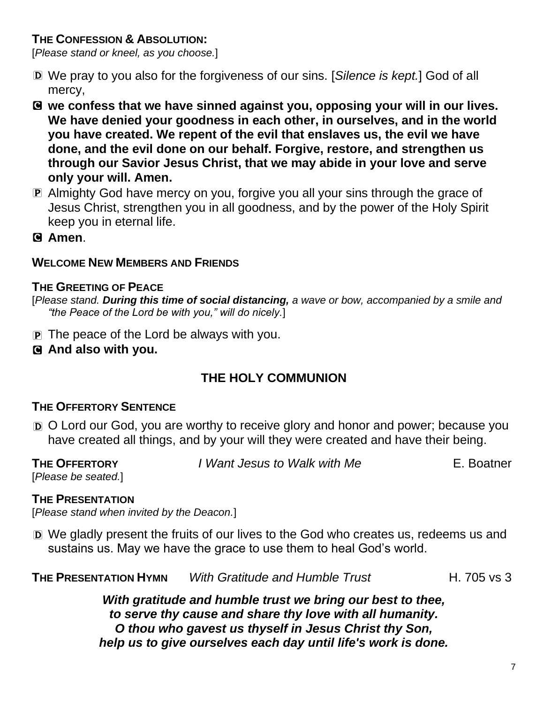#### **THE CONFESSION & ABSOLUTION:**

[*Please stand or kneel, as you choose.*]

- D We pray to you also for the forgiveness of our sins. [*Silence is kept.*] God of all mercy,
- C **we confess that we have sinned against you, opposing your will in our lives. We have denied your goodness in each other, in ourselves, and in the world you have created. We repent of the evil that enslaves us, the evil we have done, and the evil done on our behalf. Forgive, restore, and strengthen us through our Savior Jesus Christ, that we may abide in your love and serve only your will. Amen.**
- P Almighty God have mercy on you, forgive you all your sins through the grace of Jesus Christ, strengthen you in all goodness, and by the power of the Holy Spirit keep you in eternal life.
- C **Amen**.

#### **WELCOME NEW MEMBERS AND FRIENDS**

#### **THE GREETING OF PEACE**

[*Please stand. During this time of social distancing, a wave or bow, accompanied by a smile and "the Peace of the Lord be with you," will do nicely.*]

- P The peace of the Lord be always with you.
- C **And also with you.**

## **THE HOLY COMMUNION**

### **THE OFFERTORY SENTENCE**

D O Lord our God, you are worthy to receive glory and honor and power; because you have created all things, and by your will they were created and have their being.

| THE OFFERTORY | I Want Jesus to Walk with Me | E. Boatner |
|---------------|------------------------------|------------|
| - - -         |                              |            |

[*Please be seated.*]

#### **THE PRESENTATION**

[*Please stand when invited by the Deacon.*]

D We gladly present the fruits of our lives to the God who creates us, redeems us and sustains us. May we have the grace to use them to heal God's world.

**THE PRESENTATION HYMN** *With Gratitude and Humble Trust* **Henry 2005** Vs 3

*With gratitude and humble trust we bring our best to thee, to serve thy cause and share thy love with all humanity. O thou who gavest us thyself in Jesus Christ thy Son, help us to give ourselves each day until life's work is done.*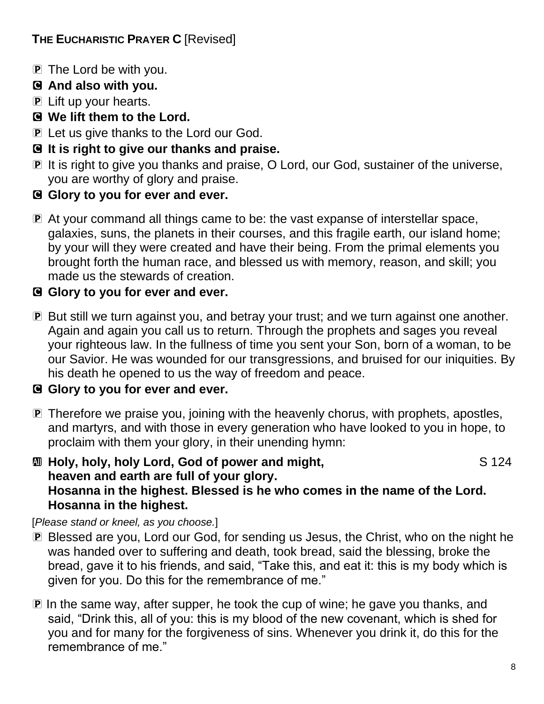## **THE EUCHARISTIC PRAYER C** [Revised]

- P The Lord be with you.
- C **And also with you.**
- P Lift up your hearts.
- C **We lift them to the Lord.**
- P Let us give thanks to the Lord our God.
- C **It is right to give our thanks and praise.**
- **P** It is right to give you thanks and praise, O Lord, our God, sustainer of the universe, you are worthy of glory and praise.
- C **Glory to you for ever and ever.**
- P At your command all things came to be: the vast expanse of interstellar space, galaxies, suns, the planets in their courses, and this fragile earth, our island home; by your will they were created and have their being. From the primal elements you brought forth the human race, and blessed us with memory, reason, and skill; you made us the stewards of creation.

## C **Glory to you for ever and ever.**

- P But still we turn against you, and betray your trust; and we turn against one another. Again and again you call us to return. Through the prophets and sages you reveal your righteous law. In the fullness of time you sent your Son, born of a woman, to be our Savior. He was wounded for our transgressions, and bruised for our iniquities. By his death he opened to us the way of freedom and peace.
- C **Glory to you for ever and ever.**
- P Therefore we praise you, joining with the heavenly chorus, with prophets, apostles, and martyrs, and with those in every generation who have looked to you in hope, to proclaim with them your glory, in their unending hymn:
- $\textcircled{1}$  **Holy, holy, holy Lord, God of power and might, S 124 S 124 S 124 S 124 S 124 S 124 S 124 S 124 S 124 S 124 S 124 S 124 S 124 S 124 S 124 S 124 S 124 S 124 S 124 S 124 S 124 S 124 S 124 S 124 S 124 S 124 S 124 S heaven and earth are full of your glory. Hosanna in the highest. Blessed is he who comes in the name of the Lord. Hosanna in the highest.**

[*Please stand or kneel, as you choose.*]

- P Blessed are you, Lord our God, for sending us Jesus, the Christ, who on the night he was handed over to suffering and death, took bread, said the blessing, broke the bread, gave it to his friends, and said, "Take this, and eat it: this is my body which is given for you. Do this for the remembrance of me."
- P In the same way, after supper, he took the cup of wine; he gave you thanks, and said, "Drink this, all of you: this is my blood of the new covenant, which is shed for you and for many for the forgiveness of sins. Whenever you drink it, do this for the remembrance of me."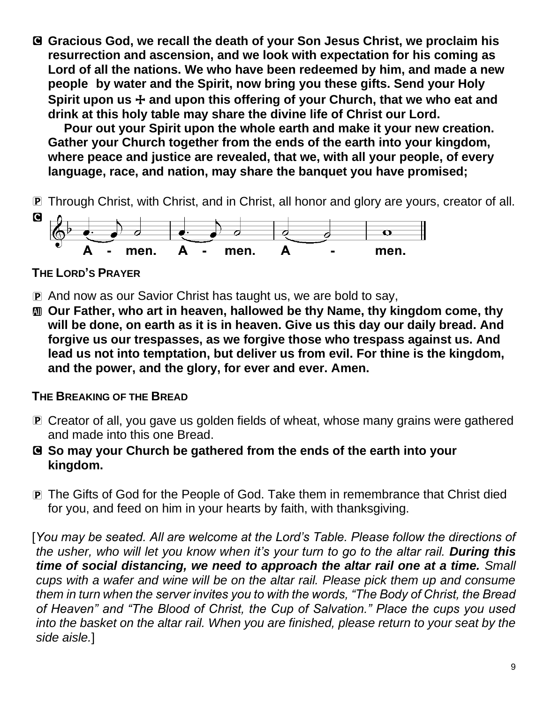C **Gracious God, we recall the death of your Son Jesus Christ, we proclaim his resurrection and ascension, and we look with expectation for his coming as Lord of all the nations. We who have been redeemed by him, and made a new people by water and the Spirit, now bring you these gifts. Send your Holy**  Spirit upon us  $+$  and upon this offering of your Church, that we who eat and **drink at this holy table may share the divine life of Christ our Lord.**

**Pour out your Spirit upon the whole earth and make it your new creation. Gather your Church together from the ends of the earth into your kingdom, where peace and justice are revealed, that we, with all your people, of every language, race, and nation, may share the banquet you have promised;**

P Through Christ, with Christ, and in Christ, all honor and glory are yours, creator of all.



**THE LORD'S PRAYER**

- P And now as our Savior Christ has taught us, we are bold to say,
- a **Our Father, who art in heaven, hallowed be thy Name, thy kingdom come, thy will be done, on earth as it is in heaven. Give us this day our daily bread. And forgive us our trespasses, as we forgive those who trespass against us. And lead us not into temptation, but deliver us from evil. For thine is the kingdom, and the power, and the glory, for ever and ever. Amen.**

### **THE BREAKING OF THE BREAD**

- P Creator of all, you gave us golden fields of wheat, whose many grains were gathered and made into this one Bread.
- C **So may your Church be gathered from the ends of the earth into your kingdom.**
- P The Gifts of God for the People of God. Take them in remembrance that Christ died for you, and feed on him in your hearts by faith, with thanksgiving.

[*You may be seated. All are welcome at the Lord's Table. Please follow the directions of the usher, who will let you know when it's your turn to go to the altar rail. During this time of social distancing, we need to approach the altar rail one at a time. Small cups with a wafer and wine will be on the altar rail. Please pick them up and consume them in turn when the server invites you to with the words, "The Body of Christ, the Bread of Heaven" and "The Blood of Christ, the Cup of Salvation." Place the cups you used into the basket on the altar rail. When you are finished, please return to your seat by the side aisle.*]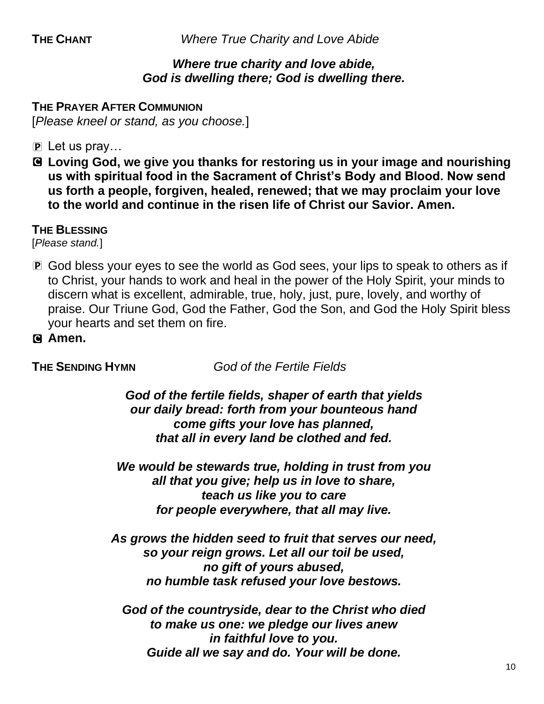**THE CHANT** *Where True Charity and Love Abide*

#### *Where true charity and love abide, God is dwelling there; God is dwelling there.*

**THE PRAYER AFTER COMMUNION** [*Please kneel or stand, as you choose.*]

- $\mathbf{P}$  Let us pray...
- C **Loving God, we give you thanks for restoring us in your image and nourishing us with spiritual food in the Sacrament of Christ's Body and Blood. Now send us forth a people, forgiven, healed, renewed; that we may proclaim your love to the world and continue in the risen life of Christ our Savior. Amen.**

**THE BLESSING**  [*Please stand.*]

P God bless your eyes to see the world as God sees, your lips to speak to others as if to Christ, your hands to work and heal in the power of the Holy Spirit, your minds to discern what is excellent, admirable, true, holy, just, pure, lovely, and worthy of praise. Our Triune God, God the Father, God the Son, and God the Holy Spirit bless your hearts and set them on fire.

C **Amen.**

**THE SENDING HYMN** *God of the Fertile Fields*

*God of the fertile fields, shaper of earth that yields our daily bread: forth from your bounteous hand come gifts your love has planned, that all in every land be clothed and fed.*

*We would be stewards true, holding in trust from you all that you give; help us in love to share, teach us like you to care for people everywhere, that all may live.*

*As grows the hidden seed to fruit that serves our need, so your reign grows. Let all our toil be used, no gift of yours abused, no humble task refused your love bestows.*

*God of the countryside, dear to the Christ who died to make us one: we pledge our lives anew in faithful love to you. Guide all we say and do. Your will be done.*